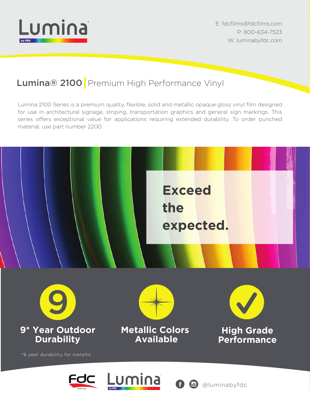

E: fdcfilms@fdcfilms.com P: 800-634-7523 W: luminabyfdc.com

### Lumina® 2100 Premium High Performance Vinyl

Lumina 2100 Series is a premium quality, flexible, solid and metallic opaque gloss vinyl film designed for use in architectural signage, striping, transportation graphics and general sign markings. This series offers exceptional value for applications requiring extended durability. To order punched material, use part number 2200.

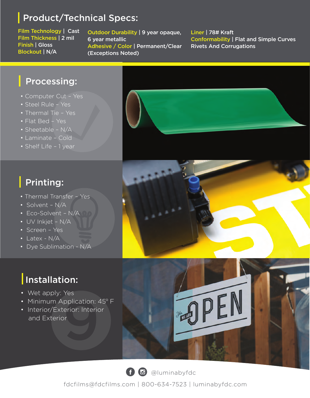### Product/Technical Specs:

Film Technology | Cast Film Thickness | 2 mil Finish | Gloss Blockout | N/A

ł

Outdoor Durability | 9 year opaque, 6 year metallic Adhesive / Color | Permanent/Clear (Exceptions Noted)

#### Liner | 78# Kraft Conformability | Flat and Simple Curves Rivets And Corrugations

### Processing:

- Computer Cut Yes
- Steel Rule Yes
- Thermal Tie Yes
- Flat Bed Yes
- Sheetable N/A
- Laminate Cold
- Shelf Life 1 year

## Printing:

- Thermal Transfer Yes
- Solvent N/A
- Eco-Solvent N/A
- UV Inkjet N/A
- Screen Yes
- Latex N/A
- Dye Sublimation N/A

# Installation:

- Wet apply: Yes
- Minimum Application: 45° F
- Interior/Exterior: Interior and Exterior







 $\bigoplus$  @luminabyfdc

fdcfilms@fdcfilms.com | 800-634-7523 | luminabyfdc.com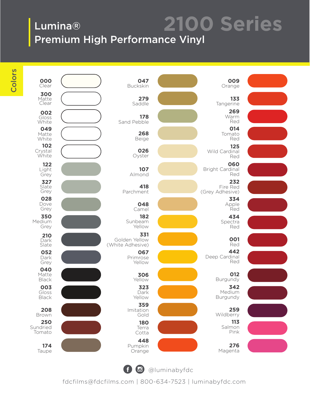### Lumina® Premium High Performance Vinyl **2100 Series**

Colors



@luminabyfdc

fdcfilms@fdcfilms.com | 800-634-7523 | luminabyfdc.com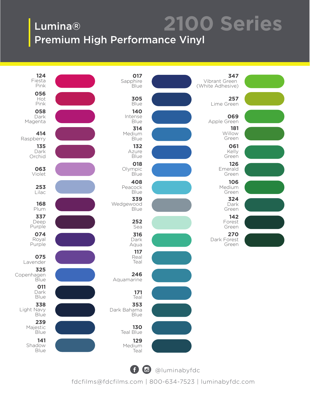### Lumina® Premium High Performance Vinyl **2100 Series**



10 @luminabyfdc

fdcfilms@fdcfilms.com | 800-634-7523 | luminabyfdc.com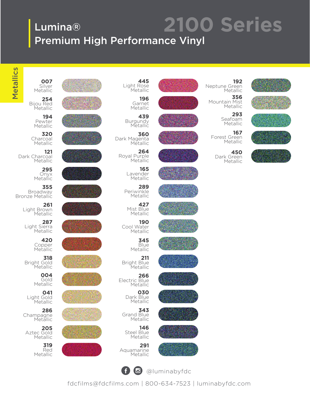### Lumina® Premium High Performance Vinyl **2100 Series**

**445**

**196** Garnet Metallic **439** Burgundy Metallic

**360**

**264**

**165** Lavender Metallic **289** Periwinkle Metallic **427** Mist Blue Metallic **190** Cool Water **Metallic** 

> **345** Blue Metallic

> > **211**

**266**

Bright Blue Metallic

Electric Blue Metallic **030** Dark Blue Metallic **343** Grand Blue Metallic **146** Steel Blue

Dark Magenta Metallic

Royal Purple Metallic

Light Rose Metallic

Metallics Metallics

Metallic **254** Bijou Red Metallic

**007** Silver

**194** Pewter Metallic

**320 Charcoal** Metallic

**121** Dark Charcoal Metallic

> **295** Metallic

**355**<br>Broadway Bronze Metallic

> **261** Light Brown Metallic

**287** Light Sierra Metallic

> **420** Copper Metallic

**318** Bright Gold Metallic

> **004** Gold Metallic

**041** Light Gold Metallic

**286** Champagne Metallic

**205** Aztec Gold Metallic

> **319** Red Metallic



























































































**291** Aquamarine Metallic































 $\left( f\right)$   $\left( 0\right)$ @luminabyfdc

fdcfilms@fdcfilms.com | 800-634-7523 | luminabyfdc.com













Metallic **167**

**450** Dark Green Metallic

Forest Green Metallic